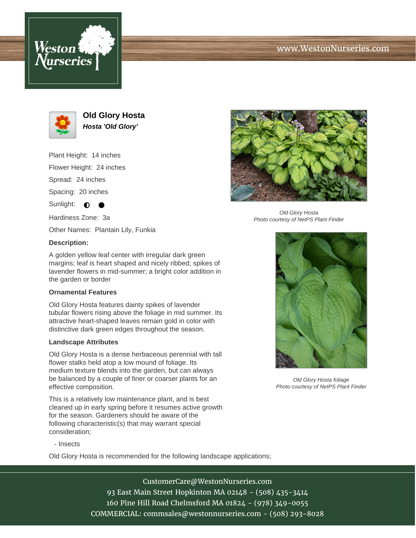



**Old Glory Hosta Hosta 'Old Glory'**

Plant Height: 14 inches

Flower Height: 24 inches

Spread: 24 inches

Spacing: 20 inches

Sunlight:  $\bigcirc$ 

Hardiness Zone: 3a

Other Names: Plantain Lily, Funkia

## **Description:**

A golden yellow leaf center with irregular dark green margins; leaf is heart shaped and nicely ribbed; spikes of lavender flowers in mid-summer; a bright color addition in the garden or border

## **Ornamental Features**

Old Glory Hosta features dainty spikes of lavender tubular flowers rising above the foliage in mid summer. Its attractive heart-shaped leaves remain gold in color with distinctive dark green edges throughout the season.

## **Landscape Attributes**

Old Glory Hosta is a dense herbaceous perennial with tall flower stalks held atop a low mound of foliage. Its medium texture blends into the garden, but can always be balanced by a couple of finer or coarser plants for an effective composition.

This is a relatively low maintenance plant, and is best cleaned up in early spring before it resumes active growth for the season. Gardeners should be aware of the following characteristic(s) that may warrant special consideration;

- Insects

Old Glory Hosta is recommended for the following landscape applications;



Old Glory Hosta Photo courtesy of NetPS Plant Finder



Old Glory Hosta foliage Photo courtesy of NetPS Plant Finder

CustomerCare@WestonNurseries.com 93 East Main Street Hopkinton MA 02148 - (508) 435-3414 160 Pine Hill Road Chelmsford MA 01824 - (978) 349-0055 COMMERCIAL: commsales@westonnurseries.com - (508) 293-8028